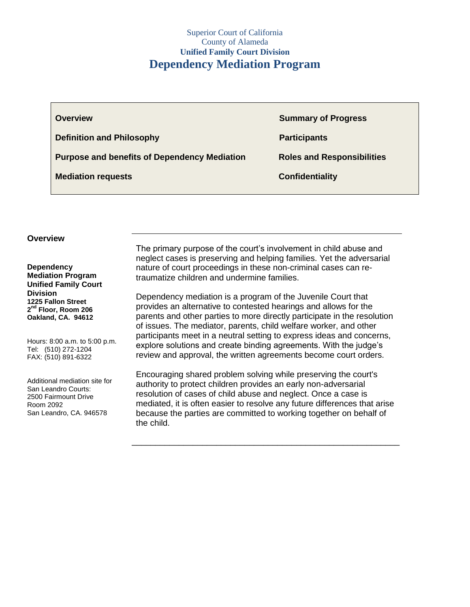| <b>Overview</b>                                     | <b>Summary of Progress</b>        |
|-----------------------------------------------------|-----------------------------------|
| <b>Definition and Philosophy</b>                    | <b>Participants</b>               |
| <b>Purpose and benefits of Dependency Mediation</b> | <b>Roles and Responsibilities</b> |
| <b>Mediation requests</b>                           | <b>Confidentiality</b>            |
|                                                     |                                   |

#### **Overview**

**Dependency Mediation Program Unified Family Court Division 1225 Fallon Street 2 nd Floor, Room 206 Oakland, CA. 94612**

Hours: 8:00 a.m. to 5:00 p.m. Tel: (510) 272-1204 FAX: (510) 891-6322

Additional mediation site for San Leandro Courts: 2500 Fairmount Drive Room 2092 San Leandro, CA. 946578

The primary purpose of the court's involvement in child abuse and neglect cases is preserving and helping families. Yet the adversarial nature of court proceedings in these non-criminal cases can retraumatize children and undermine families.

Dependency mediation is a program of the Juvenile Court that provides an alternative to contested hearings and allows for the parents and other parties to more directly participate in the resolution of issues. The mediator, parents, child welfare worker, and other participants meet in a neutral setting to express ideas and concerns, explore solutions and create binding agreements. With the judge's review and approval, the written agreements become court orders.

Encouraging shared problem solving while preserving the court's authority to protect children provides an early non-adversarial resolution of cases of child abuse and neglect. Once a case is mediated, it is often easier to resolve any future differences that arise because the parties are committed to working together on behalf of the child.

\_\_\_\_\_\_\_\_\_\_\_\_\_\_\_\_\_\_\_\_\_\_\_\_\_\_\_\_\_\_\_\_\_\_\_\_\_\_\_\_\_\_\_\_\_\_\_\_\_\_\_\_\_\_\_\_\_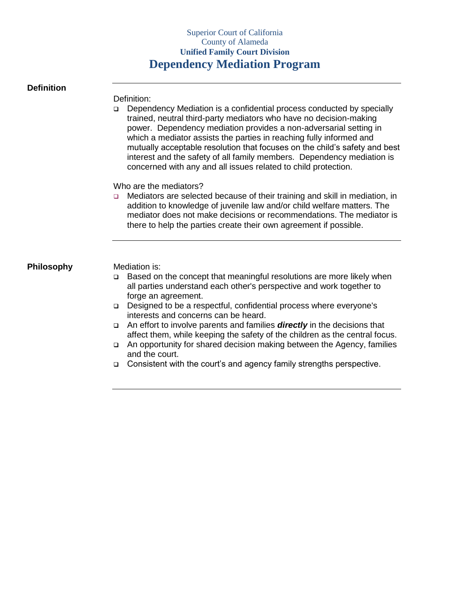#### **Definition**

Definition:

 Dependency Mediation is a confidential process conducted by specially trained, neutral third-party mediators who have no decision-making power. Dependency mediation provides a non-adversarial setting in which a mediator assists the parties in reaching fully informed and mutually acceptable resolution that focuses on the child's safety and best interest and the safety of all family members. Dependency mediation is concerned with any and all issues related to child protection.

Who are the mediators?

□ Mediators are selected because of their training and skill in mediation, in addition to knowledge of juvenile law and/or child welfare matters. The mediator does not make decisions or recommendations. The mediator is there to help the parties create their own agreement if possible.

**Philosophy Mediation is:** 

- □ Based on the concept that meaningful resolutions are more likely when all parties understand each other's perspective and work together to forge an agreement.
- Designed to be a respectful, confidential process where everyone's interests and concerns can be heard.
- An effort to involve parents and families *directly* in the decisions that affect them, while keeping the safety of the children as the central focus.
- An opportunity for shared decision making between the Agency, families and the court.
- □ Consistent with the court's and agency family strengths perspective.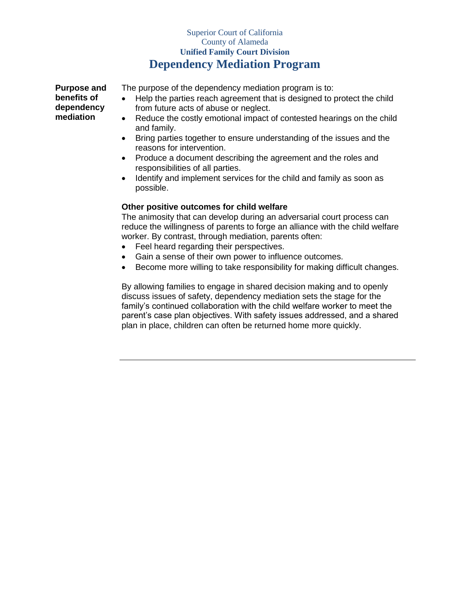**Purpose and benefits of dependency mediation**

The purpose of the dependency mediation program is to:

- Help the parties reach agreement that is designed to protect the child from future acts of abuse or neglect.
- Reduce the costly emotional impact of contested hearings on the child and family.
- Bring parties together to ensure understanding of the issues and the reasons for intervention.
- Produce a document describing the agreement and the roles and responsibilities of all parties.
- Identify and implement services for the child and family as soon as possible.

## **Other positive outcomes for child welfare**

The animosity that can develop during an adversarial court process can reduce the willingness of parents to forge an alliance with the child welfare worker. By contrast, through mediation, parents often:

- Feel heard regarding their perspectives.
- Gain a sense of their own power to influence outcomes.
- Become more willing to take responsibility for making difficult changes.

By allowing families to engage in shared decision making and to openly discuss issues of safety, dependency mediation sets the stage for the family's continued collaboration with the child welfare worker to meet the parent's case plan objectives. With safety issues addressed, and a shared plan in place, children can often be returned home more quickly.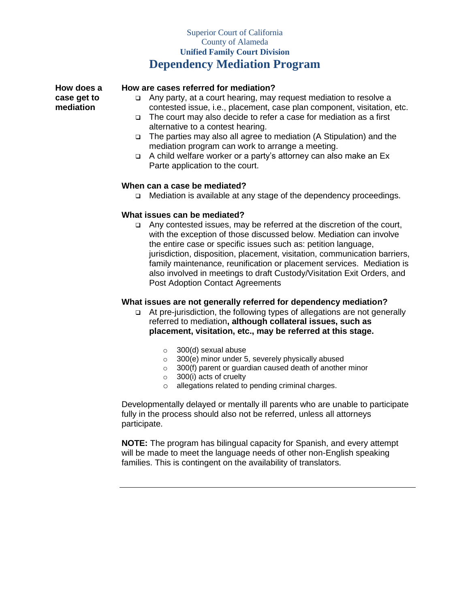**How does a case get to mediation**

## **How are cases referred for mediation?**

- Any party, at a court hearing, may request mediation to resolve a contested issue, i.e., placement, case plan component, visitation, etc.
- The court may also decide to refer a case for mediation as a first alternative to a contest hearing.
- The parties may also all agree to mediation (A Stipulation) and the mediation program can work to arrange a meeting.
- A child welfare worker or a party's attorney can also make an Ex Parte application to the court.

### **When can a case be mediated?**

Mediation is available at any stage of the dependency proceedings.

### **What issues can be mediated?**

 Any contested issues, may be referred at the discretion of the court, with the exception of those discussed below. Mediation can involve the entire case or specific issues such as: petition language, jurisdiction, disposition, placement, visitation, communication barriers, family maintenance, reunification or placement services. Mediation is also involved in meetings to draft Custody/Visitation Exit Orders, and Post Adoption Contact Agreements

#### **What issues are not generally referred for dependency mediation?**

- At pre-jurisdiction, the following types of allegations are not generally referred to mediation**, although collateral issues, such as placement, visitation, etc., may be referred at this stage.** 
	- o 300(d) sexual abuse
	- $\circ$  300(e) minor under 5, severely physically abused
	- $\circ$  300(f) parent or guardian caused death of another minor
	- $\circ$  300(i) acts of cruelty
	- o allegations related to pending criminal charges.

Developmentally delayed or mentally ill parents who are unable to participate fully in the process should also not be referred, unless all attorneys participate.

**NOTE:** The program has bilingual capacity for Spanish, and every attempt will be made to meet the language needs of other non-English speaking families. This is contingent on the availability of translators.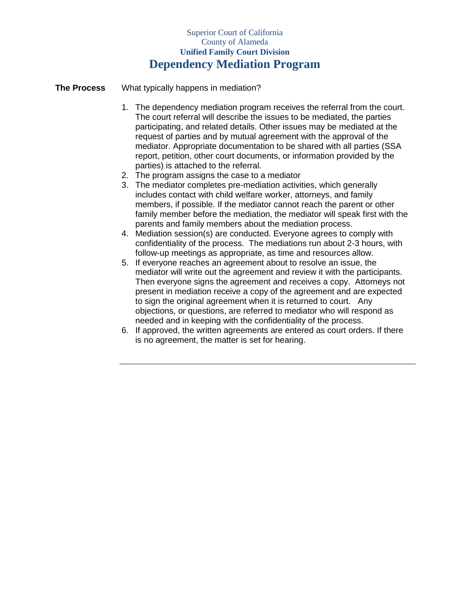**The Process** What typically happens in mediation?

- 1. The dependency mediation program receives the referral from the court. The court referral will describe the issues to be mediated, the parties participating, and related details. Other issues may be mediated at the request of parties and by mutual agreement with the approval of the mediator. Appropriate documentation to be shared with all parties (SSA report, petition, other court documents, or information provided by the parties) is attached to the referral.
- 2. The program assigns the case to a mediator
- 3. The mediator completes pre-mediation activities, which generally includes contact with child welfare worker, attorneys, and family members, if possible. If the mediator cannot reach the parent or other family member before the mediation, the mediator will speak first with the parents and family members about the mediation process.
- 4. Mediation session(s) are conducted. Everyone agrees to comply with confidentiality of the process. The mediations run about 2-3 hours, with follow-up meetings as appropriate, as time and resources allow.
- 5. If everyone reaches an agreement about to resolve an issue, the mediator will write out the agreement and review it with the participants. Then everyone signs the agreement and receives a copy. Attorneys not present in mediation receive a copy of the agreement and are expected to sign the original agreement when it is returned to court. Any objections, or questions, are referred to mediator who will respond as needed and in keeping with the confidentiality of the process.
- 6. If approved, the written agreements are entered as court orders. If there is no agreement, the matter is set for hearing.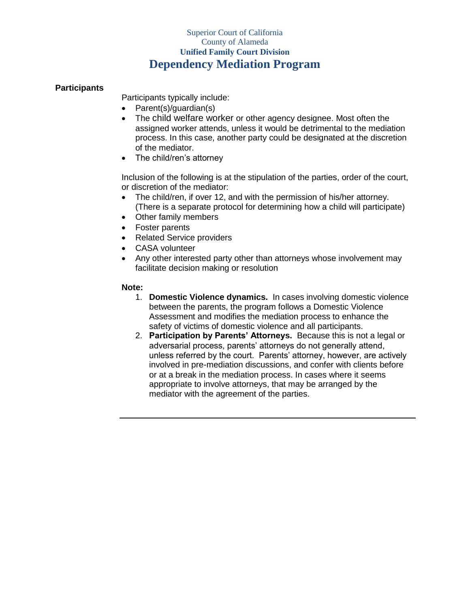## **Participants**

Participants typically include:

- Parent(s)/guardian(s)
- The child welfare worker or other agency designee. Most often the assigned worker attends, unless it would be detrimental to the mediation process. In this case, another party could be designated at the discretion of the mediator.
- The child/ren's attorney

Inclusion of the following is at the stipulation of the parties, order of the court, or discretion of the mediator:

- The child/ren, if over 12, and with the permission of his/her attorney. (There is a separate protocol for determining how a child will participate)
- Other family members
- Foster parents
- Related Service providers
- CASA volunteer
- Any other interested party other than attorneys whose involvement may facilitate decision making or resolution

## **Note:**

- 1. **Domestic Violence dynamics.** In cases involving domestic violence between the parents, the program follows a Domestic Violence Assessment and modifies the mediation process to enhance the safety of victims of domestic violence and all participants.
- 2. **Participation by Parents' Attorneys.** Because this is not a legal or adversarial process, parents' attorneys do not generally attend, unless referred by the court. Parents' attorney, however, are actively involved in pre-mediation discussions, and confer with clients before or at a break in the mediation process. In cases where it seems appropriate to involve attorneys, that may be arranged by the mediator with the agreement of the parties.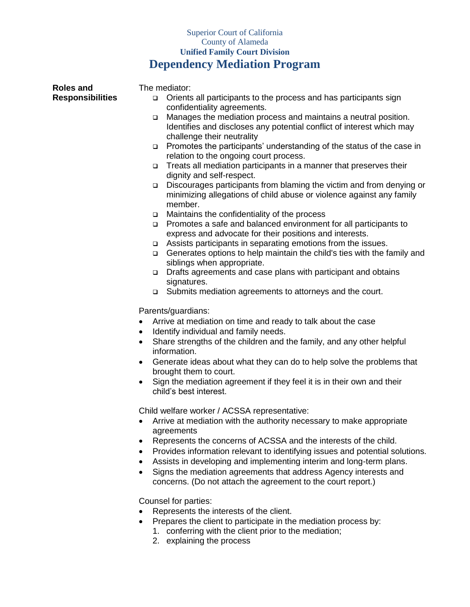| <b>Roles and</b>        | The mediator:                                                                                                                                                                    |
|-------------------------|----------------------------------------------------------------------------------------------------------------------------------------------------------------------------------|
| <b>Responsibilities</b> | Orients all participants to the process and has participants sign<br>□<br>confidentiality agreements.                                                                            |
|                         | Manages the mediation process and maintains a neutral position.<br>$\Box$<br>Identifies and discloses any potential conflict of interest which may<br>challenge their neutrality |
|                         | Promotes the participants' understanding of the status of the case in<br>□<br>relation to the ongoing court process.                                                             |
|                         | Treats all mediation participants in a manner that preserves their<br>□<br>dignity and self-respect.                                                                             |
|                         | Discourages participants from blaming the victim and from denying or<br>$\Box$<br>minimizing allegations of child abuse or violence against any family<br>member.                |
|                         | Maintains the confidentiality of the process<br>$\Box$                                                                                                                           |
|                         | Promotes a safe and balanced environment for all participants to<br>$\Box$<br>express and advocate for their positions and interests.                                            |
|                         | Assists participants in separating emotions from the issues.<br>$\Box$                                                                                                           |
|                         | Generates options to help maintain the child's ties with the family and<br>$\Box$<br>siblings when appropriate.                                                                  |
|                         | Drafts agreements and case plans with participant and obtains<br>$\Box$<br>signatures.                                                                                           |
|                         | Submits mediation agreements to attorneys and the court.<br>$\Box$                                                                                                               |
|                         | Parents/guardians:                                                                                                                                                               |
|                         | Arrive at mediation on time and ready to talk about the case<br>$\bullet$                                                                                                        |
|                         | Identify individual and family needs.<br>$\bullet$                                                                                                                               |
|                         | Share strengths of the children and the family, and any other helpful<br>$\bullet$<br>information.                                                                               |
|                         | Generate ideas about what they can do to help solve the problems that<br>٠<br>brought them to court.                                                                             |
|                         | Sign the mediation agreement if they feel it is in their own and their<br>child's best interest.                                                                                 |
|                         | Child welfare worker / ACSSA representative:                                                                                                                                     |
|                         | Arrive at mediation with the authority necessary to make appropriate<br>agreements                                                                                               |
|                         | Represents the concerns of ACSSA and the interests of the child.<br>٠                                                                                                            |
|                         | Provides information relevant to identifying issues and potential solutions.<br>$\bullet$                                                                                        |
|                         | Assists in developing and implementing interim and long-term plans.<br>$\bullet$                                                                                                 |
|                         | Signs the mediation agreements that address Agency interests and<br>concerns. (Do not attach the agreement to the court report.)                                                 |
|                         | Counsel for parties:                                                                                                                                                             |
|                         | Represents the interests of the client.                                                                                                                                          |
|                         | Prepares the client to participate in the mediation process by:                                                                                                                  |

- 1. conferring with the client prior to the mediation;
- 2. explaining the process